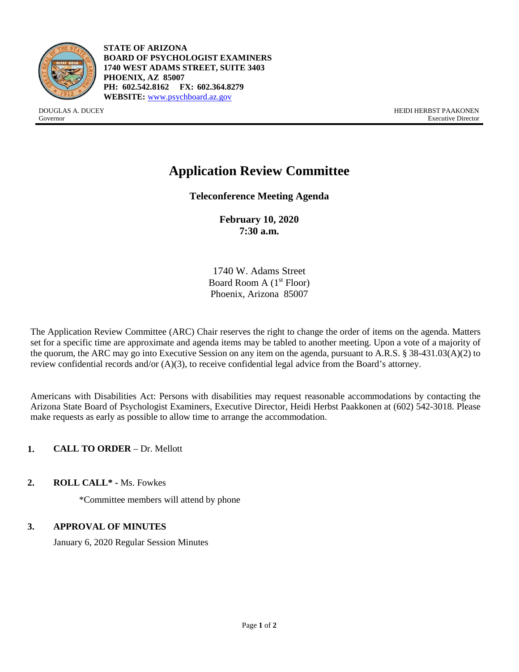

**STATE OF ARIZONA BOARD OF PSYCHOLOGIST EXAMINERS 1740 WEST ADAMS STREET, SUITE 3403 PHOENIX, AZ 85007 PH: 602.542.8162 FX: 602.364.8279 WEBSITE:** [www.psychboard.az.gov](http://www.psychboard.az.gov/)

DOUGLAS A. DUCEY HEIDI HERBST PAAKONEN Governor Executive Director

# **Application Review Committee**

**Teleconference Meeting Agenda**

**February 10, 2020 7:30 a.m.**

1740 W. Adams Street Board Room A  $(1<sup>st</sup>$  Floor) Phoenix, Arizona 85007

The Application Review Committee (ARC) Chair reserves the right to change the order of items on the agenda. Matters set for a specific time are approximate and agenda items may be tabled to another meeting. Upon a vote of a majority of the quorum, the ARC may go into Executive Session on any item on the agenda, pursuant to A.R.S. § 38-431.03(A)(2) to review confidential records and/or (A)(3), to receive confidential legal advice from the Board's attorney.

Americans with Disabilities Act: Persons with disabilities may request reasonable accommodations by contacting the Arizona State Board of Psychologist Examiners, Executive Director, Heidi Herbst Paakkonen at (602) 542-3018. Please make requests as early as possible to allow time to arrange the accommodation.

**1. CALL TO ORDER** – Dr. Mellott

**2. ROLL CALL\* -** Ms. Fowkes

\*Committee members will attend by phone

## **3. APPROVAL OF MINUTES**

January 6, 2020 Regular Session Minutes